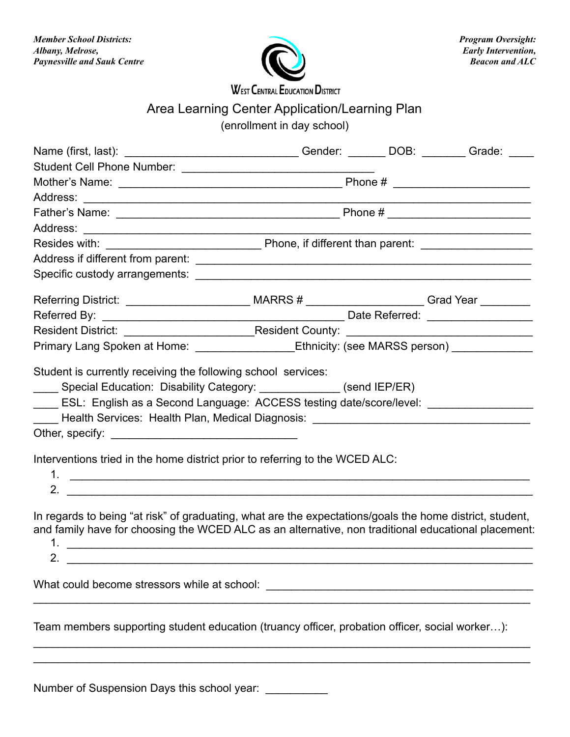

**WEST CENTRAL EDUCATION DISTRICT** 

## Area Learning Center Application/Learning Plan

(enrollment in day school)

| Name (first, last): _________________________________Gender: _______DOB: _______Grade: _____                                                                                                                                     |  |  |  |
|----------------------------------------------------------------------------------------------------------------------------------------------------------------------------------------------------------------------------------|--|--|--|
|                                                                                                                                                                                                                                  |  |  |  |
|                                                                                                                                                                                                                                  |  |  |  |
|                                                                                                                                                                                                                                  |  |  |  |
|                                                                                                                                                                                                                                  |  |  |  |
|                                                                                                                                                                                                                                  |  |  |  |
|                                                                                                                                                                                                                                  |  |  |  |
|                                                                                                                                                                                                                                  |  |  |  |
|                                                                                                                                                                                                                                  |  |  |  |
| Referring District: _________________________________MARRS # _____________________Grad Year _________                                                                                                                            |  |  |  |
|                                                                                                                                                                                                                                  |  |  |  |
|                                                                                                                                                                                                                                  |  |  |  |
| Primary Lang Spoken at Home: ________________Ethnicity: (see MARSS person) ____________                                                                                                                                          |  |  |  |
| Lackenburg Health Services: Health Plan, Medical Diagnosis: Lackenburg Health Services: Health Plan, Medical Diagnosis: Lackenburg Health Medical Diagnosis:                                                                     |  |  |  |
| Interventions tried in the home district prior to referring to the WCED ALC:                                                                                                                                                     |  |  |  |
|                                                                                                                                                                                                                                  |  |  |  |
| In regards to being "at risk" of graduating, what are the expectations/goals the home district, student,<br>and family have for choosing the WCED ALC as an alternative, non traditional educational placement:<br>$\mathcal{P}$ |  |  |  |
|                                                                                                                                                                                                                                  |  |  |  |
| Team members supporting student education (truancy officer, probation officer, social worker):                                                                                                                                   |  |  |  |
|                                                                                                                                                                                                                                  |  |  |  |